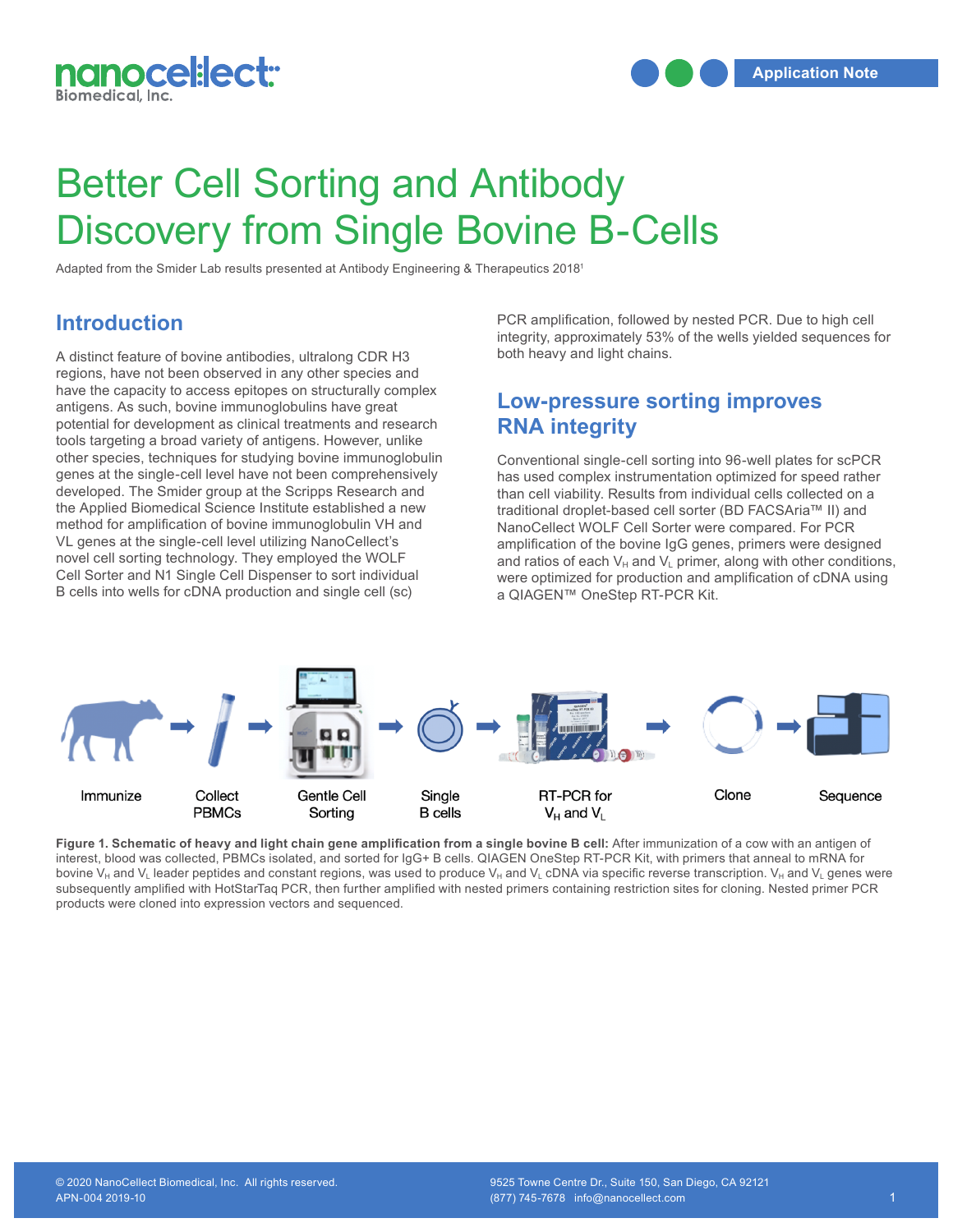

# Better Cell Sorting and Antibody Discovery from Single Bovine B-Cells

Adapted from the Smider Lab results presented at Antibody Engineering & Therapeutics 20181

#### **Introduction**

A distinct feature of bovine antibodies, ultralong CDR H3 regions, have not been observed in any other species and have the capacity to access epitopes on structurally complex antigens. As such, bovine immunoglobulins have great potential for development as clinical treatments and research tools targeting a broad variety of antigens. However, unlike other species, techniques for studying bovine immunoglobulin other species, techniques for studying bovine immunoglobulin Conventional single-cell sorting into 96-well plates for scP<br>genes at the single-cell level have not been comprehensively has used complex instrumentat developed. The Smider group at the Scripps Research and the Applied Biomedical Science Institute established a new method for amplification of bovine immunoglobulin VH and VL genes at the single-cell level utilizing NanoCellect's novel cell sorting technology. They employed the WOLF Cell Sorter and N1 Single Cell Dispenser to sort individual B cells into wells for cDNA production and single cell (sc)

PCR amplification, followed by nested PCR. Due to high cell integrity, approximately 53% of the wells yielded sequences for both heavy and light chains.

## **Low-pressure sorting improves RNA integrity**

Conventional single-cell sorting into 96-well plates for scPCR has used complex instrumentation optimized for speed rather than cell viability. Results from individual cells collected on a traditional droplet-based cell sorter (BD FACSAria™ II) and NanoCellect WOLF Cell Sorter were compared. For PCR amplification of the bovine IgG genes, primers were designed and ratios of each  $V_H$  and  $V_L$  primer, along with other conditions, were optimized for production and amplification of cDNA using a QIAGEN™ OneStep RT-PCR Kit.



Figure 1. Schematic of heavy and light chain gene amplification from a single bovine B cell: After immunization of a cow with an antigen of interest, blood was collected, PBMCs isolated, and sorted for IgG+ B cells. QIAGEN OneStep RT-PCR Kit, with primers that anneal to mRNA for bovine V<sub>H</sub> and V<sub>L</sub> leader peptides and constant regions, was used to produce V<sub>H</sub> and V<sub>L</sub> cDNA via specific reverse transcription. V<sub>H</sub> and V<sub>L</sub> genes were subsequently amplified with HotStarTaq PCR, then further amplified with nested primers containing restriction sites for cloning. Nested primer PCR products were cloned into expression vectors and sequenced.<br> **products were cloned into expression vectors and sequenced.**